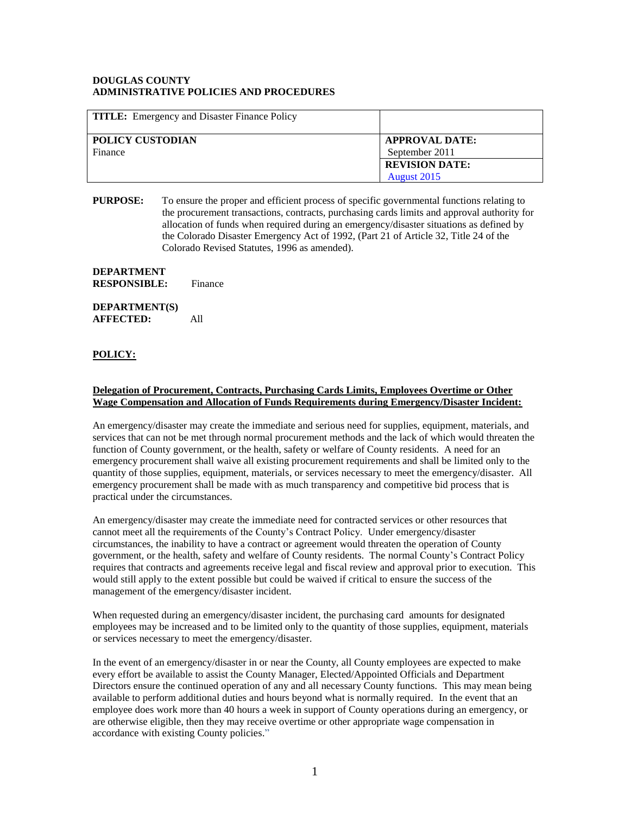## **DOUGLAS COUNTY ADMINISTRATIVE POLICIES AND PROCEDURES**

| <b>TITLE:</b> Emergency and Disaster Finance Policy |                                         |
|-----------------------------------------------------|-----------------------------------------|
| POLICY CUSTODIAN<br>Finance                         | <b>APPROVAL DATE:</b><br>September 2011 |
|                                                     | <b>REVISION DATE:</b><br>August 2015    |

**PURPOSE:** To ensure the proper and efficient process of specific governmental functions relating to the procurement transactions, contracts, purchasing cards limits and approval authority for allocation of funds when required during an emergency/disaster situations as defined by the Colorado Disaster Emergency Act of 1992, (Part 21 of Article 32, Title 24 of the Colorado Revised Statutes, 1996 as amended).

## **DEPARTMENT RESPONSIBLE:** Finance

**DEPARTMENT(S) AFFECTED:** All

## **POLICY:**

## **Delegation of Procurement, Contracts, Purchasing Cards Limits, Employees Overtime or Other Wage Compensation and Allocation of Funds Requirements during Emergency/Disaster Incident:**

An emergency/disaster may create the immediate and serious need for supplies, equipment, materials, and services that can not be met through normal procurement methods and the lack of which would threaten the function of County government, or the health, safety or welfare of County residents. A need for an emergency procurement shall waive all existing procurement requirements and shall be limited only to the quantity of those supplies, equipment, materials, or services necessary to meet the emergency/disaster. All emergency procurement shall be made with as much transparency and competitive bid process that is practical under the circumstances.

An emergency/disaster may create the immediate need for contracted services or other resources that cannot meet all the requirements of the County's Contract Policy. Under emergency/disaster circumstances, the inability to have a contract or agreement would threaten the operation of County government, or the health, safety and welfare of County residents. The normal County's Contract Policy requires that contracts and agreements receive legal and fiscal review and approval prior to execution. This would still apply to the extent possible but could be waived if critical to ensure the success of the management of the emergency/disaster incident.

When requested during an emergency/disaster incident, the purchasing card amounts for designated employees may be increased and to be limited only to the quantity of those supplies, equipment, materials or services necessary to meet the emergency/disaster.

In the event of an emergency/disaster in or near the County, all County employees are expected to make every effort be available to assist the County Manager, Elected/Appointed Officials and Department Directors ensure the continued operation of any and all necessary County functions. This may mean being available to perform additional duties and hours beyond what is normally required. In the event that an employee does work more than 40 hours a week in support of County operations during an emergency, or are otherwise eligible, then they may receive overtime or other appropriate wage compensation in accordance with existing County policies."